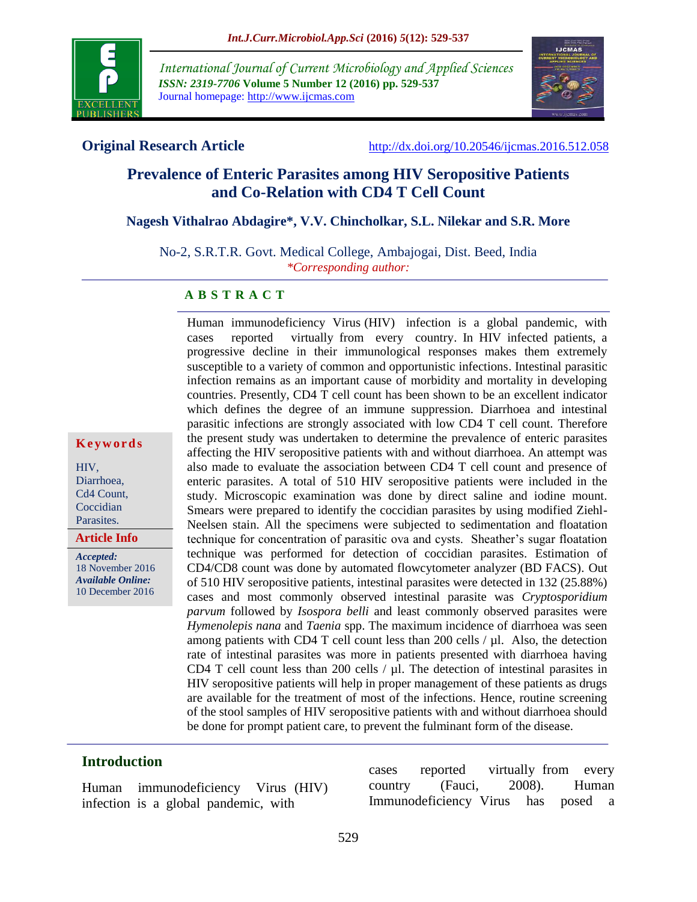

**K e y w o r d s**

HIV, Diarrhoea, Cd4 Count, Coccidian Parasites.

*Accepted:* 

**Article Info**

18 November 2016 *Available Online:* 10 December 2016

*International Journal of Current Microbiology and Applied Sciences ISSN: 2319-7706* **Volume 5 Number 12 (2016) pp. 529-537** Journal homepage: http://www.ijcmas.com



**Original Research Article** <http://dx.doi.org/10.20546/ijcmas.2016.512.058>

# **Prevalence of Enteric Parasites among HIV Seropositive Patients and Co-Relation with CD4 T Cell Count**

## **Nagesh Vithalrao Abdagire\*, V.V. Chincholkar, S.L. Nilekar and S.R. More**

No-2, S.R.T.R. Govt. Medical College, Ambajogai, Dist. Beed, India *\*Corresponding author:*

## **A B S T R A C T**

Human immunodeficiency Virus (HIV) infection is a global pandemic, with cases reported virtually from every country. In HIV infected patients, a progressive decline in their immunological responses makes them extremely susceptible to a variety of common and opportunistic infections. Intestinal parasitic infection remains as an important cause of morbidity and mortality in developing countries. Presently, CD4 T cell count has been shown to be an excellent indicator which defines the degree of an immune suppression. Diarrhoea and intestinal parasitic infections are strongly associated with low CD4 T cell count. Therefore the present study was undertaken to determine the prevalence of enteric parasites affecting the HIV seropositive patients with and without diarrhoea. An attempt was also made to evaluate the association between CD4 T cell count and presence of enteric parasites. A total of 510 HIV seropositive patients were included in the study. Microscopic examination was done by direct saline and iodine mount. Smears were prepared to identify the coccidian parasites by using modified Ziehl-Neelsen stain. All the specimens were subjected to sedimentation and floatation technique for concentration of parasitic ova and cysts. Sheather's sugar floatation technique was performed for detection of coccidian parasites. Estimation of CD4/CD8 count was done by automated flowcytometer analyzer (BD FACS). Out of 510 HIV seropositive patients, intestinal parasites were detected in 132 (25.88%) cases and most commonly observed intestinal parasite was *Cryptosporidium parvum* followed by *Isospora belli* and least commonly observed parasites were *Hymenolepis nana* and *Taenia* spp. The maximum incidence of diarrhoea was seen among patients with CD4 T cell count less than 200 cells  $/ \mu$ l. Also, the detection rate of intestinal parasites was more in patients presented with diarrhoea having CD4 T cell count less than 200 cells / µl. The detection of intestinal parasites in HIV seropositive patients will help in proper management of these patients as drugs are available for the treatment of most of the infections. Hence, routine screening of the stool samples of HIV seropositive patients with and without diarrhoea should be done for prompt patient care, to prevent the fulminant form of the disease.

## **Introduction**

Human immunodeficiency Virus (HIV) infection is a global pandemic, with

cases reported virtually from every country (Fauci, 2008). Human Immunodeficiency Virus has posed a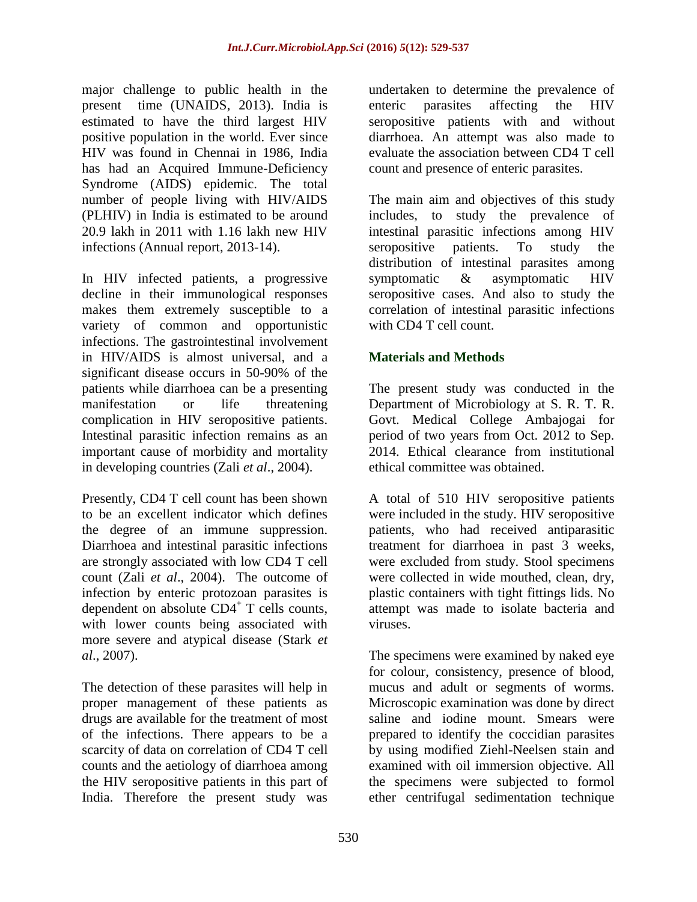major challenge to public health in the present time (UNAIDS, 2013). India is estimated to have the third largest HIV positive population in the world. Ever since HIV was found in Chennai in 1986, India has had an Acquired Immune-Deficiency Syndrome (AIDS) epidemic. The total number of people living with HIV/AIDS (PLHIV) in India is estimated to be around 20.9 lakh in 2011 with 1.16 lakh new HIV infections (Annual report, 2013-14).

In HIV infected patients, a progressive decline in their immunological responses makes them extremely susceptible to a variety of common and opportunistic infections. The gastrointestinal involvement in HIV/AIDS is almost universal, and a significant disease occurs in 50-90% of the patients while diarrhoea can be a presenting manifestation or life threatening complication in HIV seropositive patients. Intestinal parasitic infection remains as an important cause of morbidity and mortality in developing countries (Zali *et al*., 2004).

Presently, CD4 T cell count has been shown to be an excellent indicator which defines the degree of an immune suppression. Diarrhoea and intestinal parasitic infections are strongly associated with low CD4 T cell count (Zali *et al*., 2004). The outcome of infection by enteric protozoan parasites is dependent on absolute CD4<sup>+</sup> T cells counts, with lower counts being associated with more severe and atypical disease (Stark *et al*., 2007).

The detection of these parasites will help in proper management of these patients as drugs are available for the treatment of most of the infections. There appears to be a scarcity of data on correlation of CD4 T cell counts and the aetiology of diarrhoea among the HIV seropositive patients in this part of India. Therefore the present study was

undertaken to determine the prevalence of enteric parasites affecting the HIV seropositive patients with and without diarrhoea. An attempt was also made to evaluate the association between CD4 T cell count and presence of enteric parasites.

The main aim and objectives of this study includes, to study the prevalence of intestinal parasitic infections among HIV seropositive patients. To study the distribution of intestinal parasites among symptomatic & asymptomatic HIV seropositive cases. And also to study the correlation of intestinal parasitic infections with CD4 T cell count.

# **Materials and Methods**

The present study was conducted in the Department of Microbiology at S. R. T. R. Govt. Medical College Ambajogai for period of two years from Oct. 2012 to Sep. 2014. Ethical clearance from institutional ethical committee was obtained.

A total of 510 HIV seropositive patients were included in the study. HIV seropositive patients, who had received antiparasitic treatment for diarrhoea in past 3 weeks, were excluded from study. Stool specimens were collected in wide mouthed, clean, dry, plastic containers with tight fittings lids. No attempt was made to isolate bacteria and viruses.

The specimens were examined by naked eye for colour, consistency, presence of blood, mucus and adult or segments of worms. Microscopic examination was done by direct saline and iodine mount. Smears were prepared to identify the coccidian parasites by using modified Ziehl-Neelsen stain and examined with oil immersion objective. All the specimens were subjected to formol ether centrifugal sedimentation technique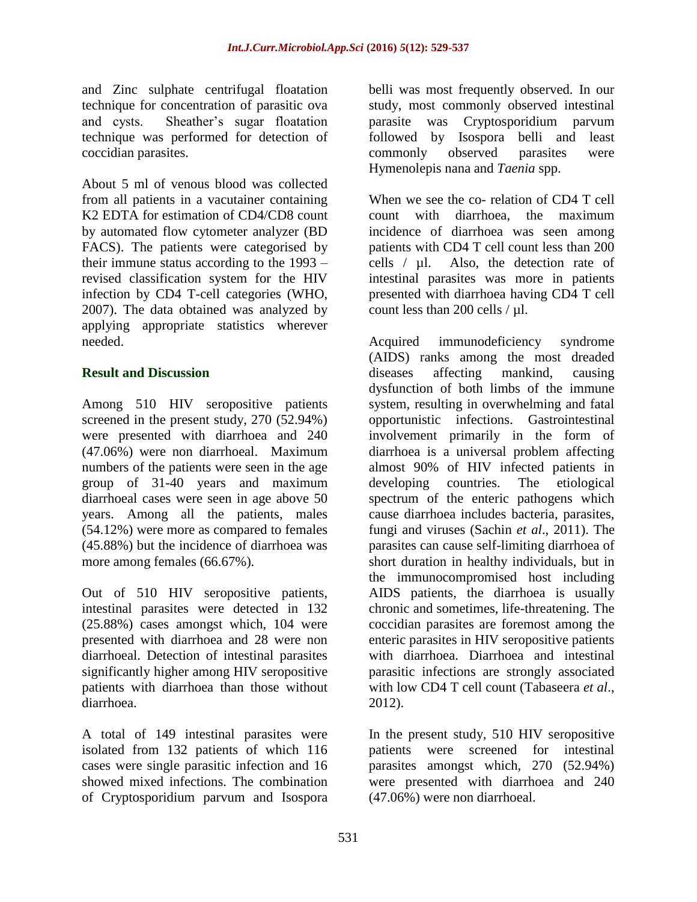and Zinc sulphate centrifugal floatation technique for concentration of parasitic ova and cysts. Sheather's sugar floatation technique was performed for detection of coccidian parasites.

About 5 ml of venous blood was collected from all patients in a vacutainer containing K2 EDTA for estimation of CD4/CD8 count by automated flow cytometer analyzer (BD FACS). The patients were categorised by their immune status according to the 1993 – revised classification system for the HIV infection by CD4 T-cell categories (WHO, 2007). The data obtained was analyzed by applying appropriate statistics wherever needed.

## **Result and Discussion**

Among 510 HIV seropositive patients screened in the present study, 270 (52.94%) were presented with diarrhoea and 240 (47.06%) were non diarrhoeal. Maximum numbers of the patients were seen in the age group of 31-40 years and maximum diarrhoeal cases were seen in age above 50 years. Among all the patients, males (54.12%) were more as compared to females (45.88%) but the incidence of diarrhoea was more among females (66.67%).

Out of 510 HIV seropositive patients, intestinal parasites were detected in 132 (25.88%) cases amongst which, 104 were presented with diarrhoea and 28 were non diarrhoeal. Detection of intestinal parasites significantly higher among HIV seropositive patients with diarrhoea than those without diarrhoea.

A total of 149 intestinal parasites were isolated from 132 patients of which 116 cases were single parasitic infection and 16 showed mixed infections. The combination of Cryptosporidium parvum and Isospora

belli was most frequently observed. In our study, most commonly observed intestinal parasite was Cryptosporidium parvum followed by Isospora belli and least commonly observed parasites were Hymenolepis nana and *Taenia* spp.

When we see the co- relation of CD4 T cell count with diarrhoea, the maximum incidence of diarrhoea was seen among patients with CD4 T cell count less than 200 cells / µl. Also, the detection rate of intestinal parasites was more in patients presented with diarrhoea having CD4 T cell count less than 200 cells  $/ \mu$ l.

Acquired immunodeficiency syndrome (AIDS) ranks among the most dreaded diseases affecting mankind, causing dysfunction of both limbs of the immune system, resulting in overwhelming and fatal opportunistic infections. Gastrointestinal involvement primarily in the form of diarrhoea is a universal problem affecting almost 90% of HIV infected patients in developing countries. The etiological spectrum of the enteric pathogens which cause diarrhoea includes bacteria, parasites, fungi and viruses (Sachin *et al*., 2011). The parasites can cause self-limiting diarrhoea of short duration in healthy individuals, but in the immunocompromised host including AIDS patients, the diarrhoea is usually chronic and sometimes, life-threatening. The coccidian parasites are foremost among the enteric parasites in HIV seropositive patients with diarrhoea. Diarrhoea and intestinal parasitic infections are strongly associated with low CD4 T cell count (Tabaseera *et al*., 2012).

In the present study, 510 HIV seropositive patients were screened for intestinal parasites amongst which, 270 (52.94%) were presented with diarrhoea and 240 (47.06%) were non diarrhoeal.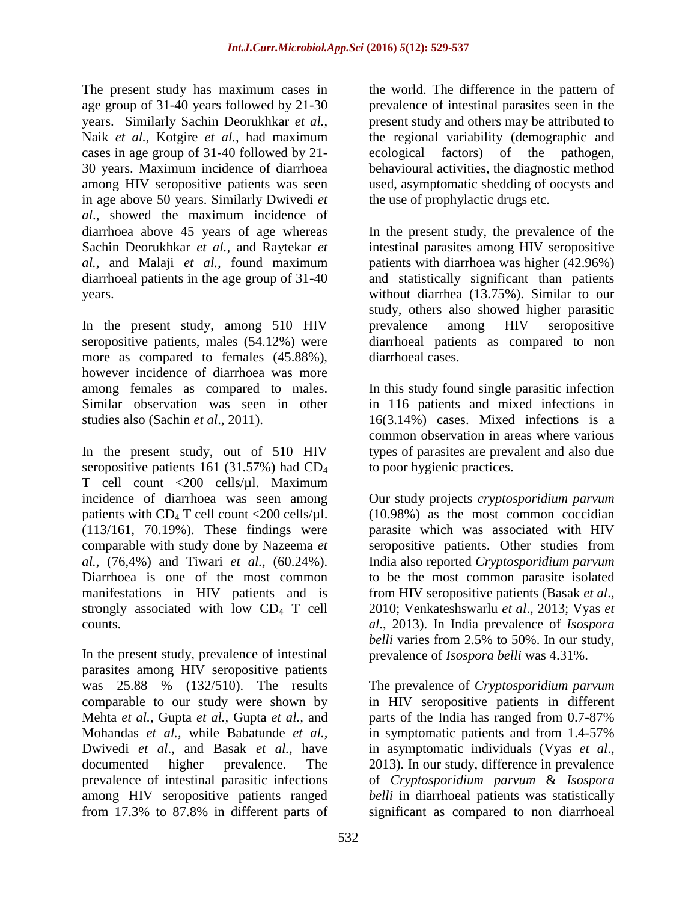The present study has maximum cases in age group of 31-40 years followed by 21-30 years. Similarly Sachin Deorukhkar *et al.*, Naik *et al.,* Kotgire *et al.,* had maximum cases in age group of 31-40 followed by 21- 30 years. Maximum incidence of diarrhoea among HIV seropositive patients was seen in age above 50 years. Similarly Dwivedi *et al*., showed the maximum incidence of diarrhoea above 45 years of age whereas Sachin Deorukhkar *et al.,* and Raytekar *et al.,* and Malaji *et al.,* found maximum diarrhoeal patients in the age group of 31-40 years.

In the present study, among 510 HIV seropositive patients, males (54.12%) were more as compared to females (45.88%), however incidence of diarrhoea was more among females as compared to males. Similar observation was seen in other studies also (Sachin *et al*., 2011).

In the present study, out of 510 HIV seropositive patients 161 (31.57%) had CD<sup>4</sup> T cell count <200 cells/µl. Maximum incidence of diarrhoea was seen among patients with  $CD_4$  T cell count <200 cells/ $\mu$ l. (113/161, 70.19%). These findings were comparable with study done by Nazeema *et al.,* (76,4%) and Tiwari *et al.,* (60.24%). Diarrhoea is one of the most common manifestations in HIV patients and is strongly associated with low  $CD_4$  T cell counts.

In the present study, prevalence of intestinal parasites among HIV seropositive patients was 25.88 % (132/510). The results comparable to our study were shown by Mehta *et al.,* Gupta *et al.,* Gupta *et al.,* and Mohandas *et al.,* while Babatunde *et al.,* Dwivedi *et al*., and Basak *et al.,* have documented higher prevalence. The prevalence of intestinal parasitic infections among HIV seropositive patients ranged from 17.3% to 87.8% in different parts of

the world. The difference in the pattern of prevalence of intestinal parasites seen in the present study and others may be attributed to the regional variability (demographic and ecological factors) of the pathogen, behavioural activities, the diagnostic method used, asymptomatic shedding of oocysts and the use of prophylactic drugs etc.

In the present study, the prevalence of the intestinal parasites among HIV seropositive patients with diarrhoea was higher (42.96%) and statistically significant than patients without diarrhea (13.75%). Similar to our study, others also showed higher parasitic prevalence among HIV seropositive diarrhoeal patients as compared to non diarrhoeal cases.

In this study found single parasitic infection in 116 patients and mixed infections in 16(3.14%) cases. Mixed infections is a common observation in areas where various types of parasites are prevalent and also due to poor hygienic practices.

Our study projects *cryptosporidium parvum* (10.98%) as the most common coccidian parasite which was associated with HIV seropositive patients. Other studies from India also reported *Cryptosporidium parvum* to be the most common parasite isolated from HIV seropositive patients (Basak *et al*., 2010; Venkateshswarlu *et al*., 2013; Vyas *et al*., 2013). In India prevalence of *Isospora belli* varies from 2.5% to 50%. In our study, prevalence of *Isospora belli* was 4.31%.

The prevalence of *Cryptosporidium parvum* in HIV seropositive patients in different parts of the India has ranged from 0.7-87% in symptomatic patients and from 1.4-57% in asymptomatic individuals (Vyas *et al*., 2013). In our study, difference in prevalence of *Cryptosporidium parvum* & *Isospora belli* in diarrhoeal patients was statistically significant as compared to non diarrhoeal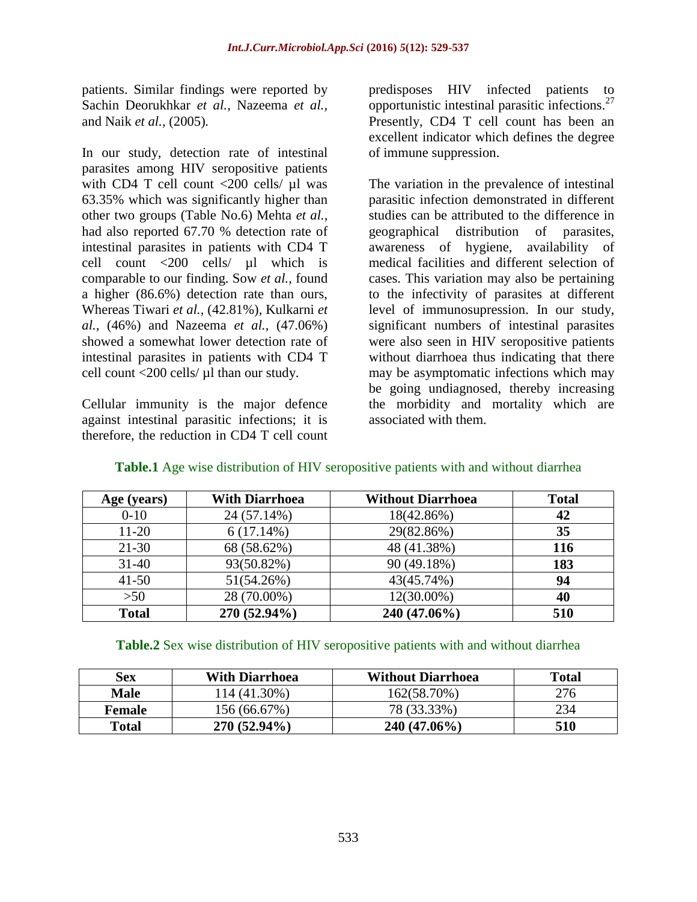patients. Similar findings were reported by Sachin Deorukhkar *et al.,* Nazeema *et al.,* and Naik *et al.,* (2005)*.*

In our study, detection rate of intestinal parasites among HIV seropositive patients with CD4 T cell count <200 cells/ µl was 63.35% which was significantly higher than other two groups (Table No.6) Mehta *et al.,*  had also reported 67.70 % detection rate of intestinal parasites in patients with CD4 T cell count <200 cells/ µl which is comparable to our finding. Sow *et al.,* found a higher (86.6%) detection rate than ours, Whereas Tiwari *et al.,* (42.81%), Kulkarni *et al.,* (46%) and Nazeema *et al.,* (47.06%) showed a somewhat lower detection rate of intestinal parasites in patients with CD4 T cell count <200 cells/ µl than our study.

Cellular immunity is the major defence against intestinal parasitic infections; it is therefore, the reduction in CD4 T cell count

predisposes HIV infected patients to opportunistic intestinal parasitic infections. $27$ Presently, CD4 T cell count has been an excellent indicator which defines the degree of immune suppression.

The variation in the prevalence of intestinal parasitic infection demonstrated in different studies can be attributed to the difference in geographical distribution of parasites, awareness of hygiene, availability of medical facilities and different selection of cases. This variation may also be pertaining to the infectivity of parasites at different level of immunosupression. In our study, significant numbers of intestinal parasites were also seen in HIV seropositive patients without diarrhoea thus indicating that there may be asymptomatic infections which may be going undiagnosed, thereby increasing the morbidity and mortality which are associated with them.

| Age (years)  | <b>With Diarrhoea</b> | <b>Without Diarrhoea</b> | <b>Total</b> |
|--------------|-----------------------|--------------------------|--------------|
| $0-10$       | 24 (57.14%)           | 18(42.86%)               | 42           |
| $11 - 20$    | 6(17.14%)             | 29(82.86%)               | 35           |
| $21 - 30$    | 68 (58.62%)           | 48 (41.38%)              | 116          |
| $31 - 40$    | 93(50.82%)            | 90 (49.18%)              | 183          |
| $41 - 50$    | 51(54.26%)            | 43(45.74%)               | 94           |
| >50          | 28 (70.00%)           | 12(30.00%)               | 40           |
| <b>Total</b> | 270 (52.94%)          | 240 (47.06%)             | 510          |

# **Table.1** Age wise distribution of HIV seropositive patients with and without diarrhea

## **Table.2** Sex wise distribution of HIV seropositive patients with and without diarrhea

| Sex           | <b>With Diarrhoea</b> | <b>Without Diarrhoea</b> | <b>Total</b> |
|---------------|-----------------------|--------------------------|--------------|
| <b>Male</b>   | 114 (41.30%)          | 162(58.70%)              | 276          |
| <b>Female</b> | 156 (66.67%)          | 78 (33.33%)              | 234          |
| <b>Total</b>  | $270(52.94\%)$        | $240(47.06\%)$           | 510          |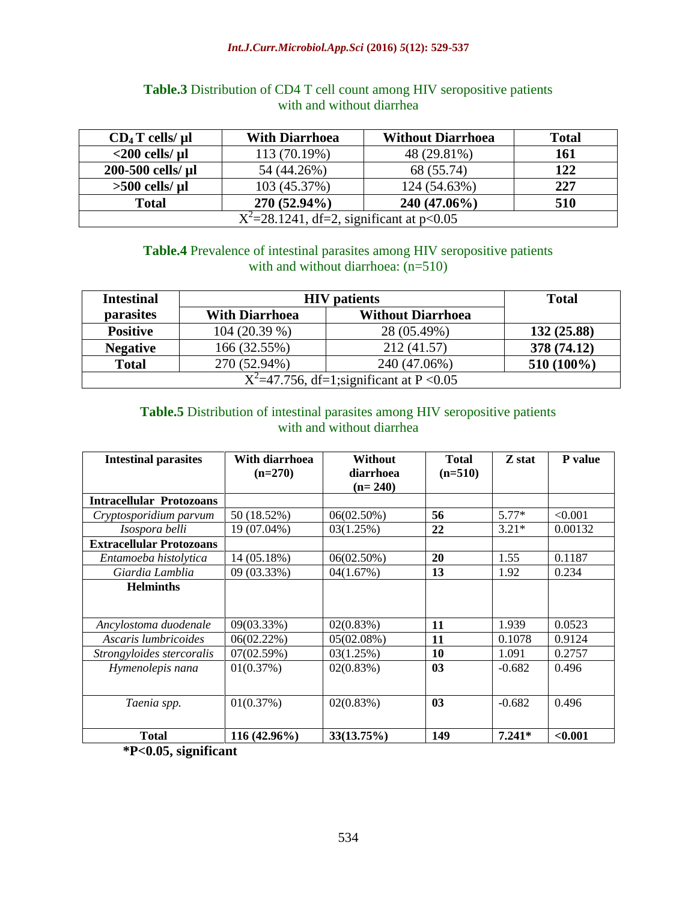#### *Int.J.Curr.Microbiol.App.Sci* **(2016)** *5***(12): 529-537**

| $CD_4T$ cells/ $\mu$ l                        | <b>With Diarrhoea</b> | <b>Without Diarrhoea</b> | <b>Total</b> |  |  |
|-----------------------------------------------|-----------------------|--------------------------|--------------|--|--|
| $<$ 200 cells/ $\mu$ l                        | 113 (70.19%)          | 48 (29.81%)              | <b>161</b>   |  |  |
| 200-500 cells/ µl                             | 54 (44.26%)           | 68 (55.74)               | 122          |  |  |
| $>500$ cells/ $\mu$ l                         | 103 (45.37%)          | 124 (54.63%)             | 227          |  |  |
| <b>Total</b>                                  | 270 (52.94%)          | $240(47.06\%)$           | 510          |  |  |
| $X^2 = 28.1241$ , df=2, significant at p<0.05 |                       |                          |              |  |  |

# **Table.3** Distribution of CD4 T cell count among HIV seropositive patients with and without diarrhea

# **Table.4** Prevalence of intestinal parasites among HIV seropositive patients with and without diarrhoea:  $(n=510)$

| <b>Intestinal</b>                              | <b>HIV</b> patients                               | <b>Total</b> |              |  |  |
|------------------------------------------------|---------------------------------------------------|--------------|--------------|--|--|
| parasites                                      | <b>Without Diarrhoea</b><br><b>With Diarrhoea</b> |              |              |  |  |
| <b>Positive</b>                                | 104 (20.39 %)                                     | 28 (05.49%)  | 132 (25.88)  |  |  |
| <b>Negative</b>                                | 166 (32.55%)                                      | 212 (41.57)  | 378 (74.12)  |  |  |
| <b>Total</b>                                   | 270 (52.94%)                                      | 240 (47.06%) | $510(100\%)$ |  |  |
| $X^2 = 47.756$ , df=1; significant at P < 0.05 |                                                   |              |              |  |  |

# **Table.5** Distribution of intestinal parasites among HIV seropositive patients with and without diarrhea

| <b>Intestinal parasites</b>     | With diarrhoea | <b>Without</b> | <b>Total</b>   | Z stat   | P value |
|---------------------------------|----------------|----------------|----------------|----------|---------|
|                                 | $(n=270)$      | diarrhoea      | $(n=510)$      |          |         |
|                                 |                | $(n=240)$      |                |          |         |
| <b>Intracellular Protozoans</b> |                |                |                |          |         |
| Cryptosporidium parvum          | 50 (18.52%)    | 06(02.50%)     | 56             | $5.77*$  | < 0.001 |
| Isospora belli                  | 19 (07.04%)    | 03(1.25%)      | 22             | $3.21*$  | 0.00132 |
| <b>Extracellular Protozoans</b> |                |                |                |          |         |
| Entamoeba histolytica           | 14 (05.18%)    | 06(02.50%)     | 20             | 1.55     | 0.1187  |
| Giardia Lamblia                 | 09 (03.33%)    | 04(1.67%)      | 13             | 1.92     | 0.234   |
| <b>Helminths</b>                |                |                |                |          |         |
|                                 |                |                |                |          |         |
| Ancylostoma duodenale           | 09(03.33%)     | 02(0.83%)      | 11             | 1.939    | 0.0523  |
| Ascaris lumbricoides            | 06(02.22%)     | 05(02.08%)     | 11             | 0.1078   | 0.9124  |
| Strongyloides stercoralis       | 07(02.59%)     | 03(1.25%)      | 10             | 1.091    | 0.2757  |
| Hymenolepis nana                | 01(0.37%)      | 02(0.83%)      | 0 <sub>3</sub> | $-0.682$ | 0.496   |
|                                 |                |                |                |          |         |
| Taenia spp.                     | 01(0.37%)      | 02(0.83%)      | 03             | $-0.682$ | 0.496   |
|                                 |                |                |                |          |         |
| <b>Total</b>                    | 116 (42.96%)   | 33(13.75%)     | 149            | $7.241*$ | < 0.001 |

**\*P<0.05, significant**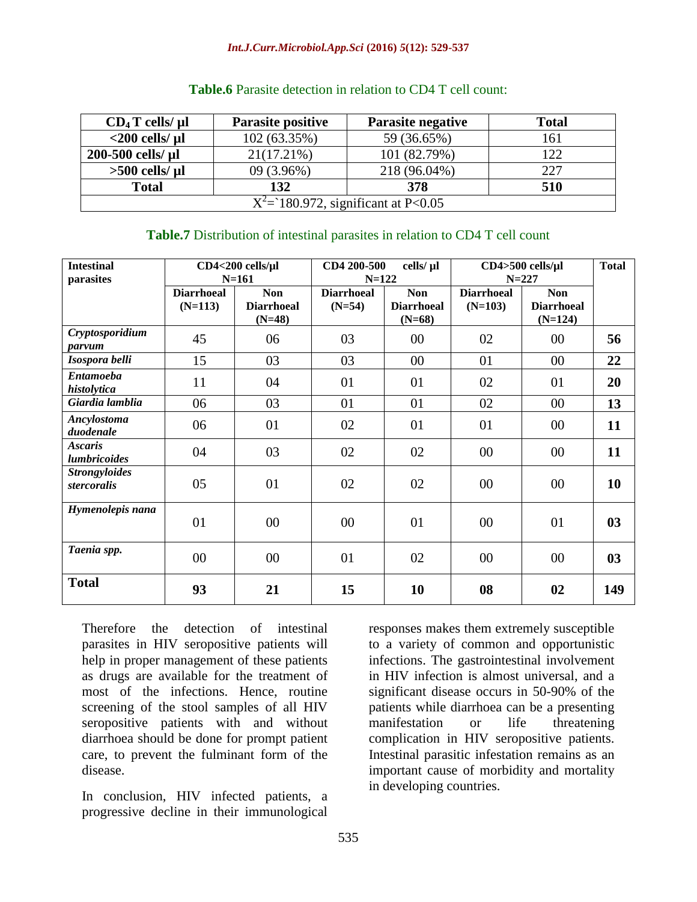#### *Int.J.Curr.Microbiol.App.Sci* **(2016)** *5***(12): 529-537**

| $CD_4T$ cells/ $\mu$ l                  | <b>Parasite positive</b> | <b>Total</b><br><b>Parasite negative</b> |     |  |  |  |
|-----------------------------------------|--------------------------|------------------------------------------|-----|--|--|--|
| $<$ 200 cells/ $\mu$ l                  | 102 (63.35%)             | 59 (36.65%)                              | 161 |  |  |  |
| $21(17.21\%)$<br>200-500 cells/ µl      |                          | 101 (82.79%)                             | 122 |  |  |  |
| $>500$ cells/ $\mu$ l                   | 09 (3.96%)               | 218 (96.04%)                             | 227 |  |  |  |
| <b>Total</b><br>132                     |                          | 378                                      | 510 |  |  |  |
| $X^2 = 180.972$ , significant at P<0.05 |                          |                                          |     |  |  |  |

## **Table.6** Parasite detection in relation to CD4 T cell count:

## **Table.7** Distribution of intestinal parasites in relation to CD4 T cell count

| <b>Intestinal</b><br>parasites        |                                | $CD4<200$ cells/ $\mu$ l<br>$N = 161$       | CD4 200-500<br>$N = 122$      | cells/ µl                                   | $CD4 > 500$ cells/ $\mu$ l<br>$N = 227$ |                                              | <b>Total</b> |
|---------------------------------------|--------------------------------|---------------------------------------------|-------------------------------|---------------------------------------------|-----------------------------------------|----------------------------------------------|--------------|
|                                       | <b>Diarrhoeal</b><br>$(N=113)$ | <b>Non</b><br><b>Diarrhoeal</b><br>$(N=48)$ | <b>Diarrhoeal</b><br>$(N=54)$ | <b>Non</b><br><b>Diarrhoeal</b><br>$(N=68)$ | <b>Diarrhoeal</b><br>$(N=103)$          | <b>Non</b><br><b>Diarrhoeal</b><br>$(N=124)$ |              |
| Cryptosporidium<br>parvum             | 45                             | 06                                          | 03                            | 00                                          | 02                                      | 00                                           | 56           |
| Isospora belli                        | 15                             | 03                                          | 03                            | 00                                          | 01                                      | 00                                           | 22           |
| <b>Entamoeba</b><br>histolytica       | 11                             | 04                                          | 01                            | 01                                          | 02                                      | 01                                           | 20           |
| Giardia lamblia                       | 06                             | 03                                          | 01                            | 01                                          | 02                                      | 00                                           | 13           |
| Ancylostoma<br>duodenale              | 06                             | 01                                          | 02                            | 01                                          | 01                                      | $00\,$                                       | 11           |
| <b>Ascaris</b><br><i>lumbricoides</i> | 04                             | 03                                          | 02                            | 02                                          | $00\,$                                  | 00                                           | 11           |
| <b>Strongyloides</b><br>stercoralis   | 05                             | 01                                          | 02                            | 02                                          | $00\,$                                  | $00\,$                                       | 10           |
| Hymenolepis nana                      | 01                             | $00\,$                                      | $00\,$                        | 01                                          | $00\,$                                  | 01                                           | 03           |
| Taenia spp.                           | $00\,$                         | $00\,$                                      | 01                            | 02                                          | $00\,$                                  | $00\,$                                       | 03           |
| <b>Total</b>                          | 93                             | 21                                          | 15                            | 10                                          | 08                                      | 02                                           | 149          |

Therefore the detection of intestinal parasites in HIV seropositive patients will help in proper management of these patients as drugs are available for the treatment of most of the infections. Hence, routine screening of the stool samples of all HIV seropositive patients with and without diarrhoea should be done for prompt patient care, to prevent the fulminant form of the disease.

In conclusion, HIV infected patients, a progressive decline in their immunological

responses makes them extremely susceptible to a variety of common and opportunistic infections. The gastrointestinal involvement in HIV infection is almost universal, and a significant disease occurs in 50-90% of the patients while diarrhoea can be a presenting manifestation or life threatening complication in HIV seropositive patients. Intestinal parasitic infestation remains as an important cause of morbidity and mortality in developing countries.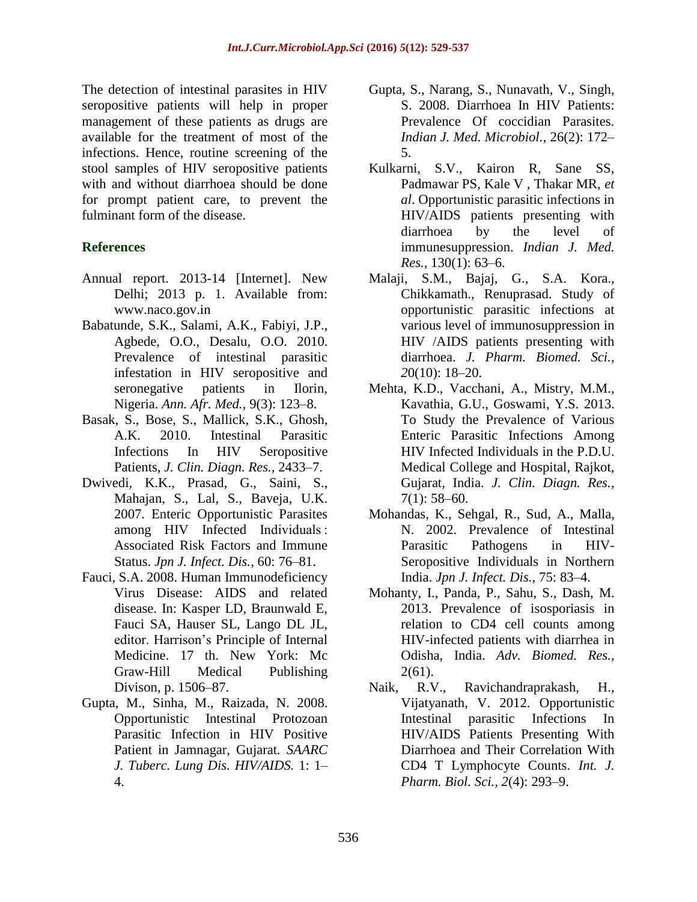The detection of intestinal parasites in HIV seropositive patients will help in proper management of these patients as drugs are available for the treatment of most of the infections. Hence, routine screening of the stool samples of HIV seropositive patients with and without diarrhoea should be done for prompt patient care, to prevent the fulminant form of the disease.

# **References**

- Annual report. 2013-14 [Internet]. New Delhi; 2013 p. 1. Available from: [www.naco.gov.in](http://www.naco.gov.in/)
- Babatunde, S.K., Salami, A.K., Fabiyi, J.P., Agbede, O.O., Desalu, O.O. 2010. Prevalence of intestinal parasitic infestation in HIV seropositive and seronegative patients in Ilorin, Nigeria. *Ann. Afr. Med.,* 9(3): 123–8.
- Basak, S., Bose, S., Mallick, S.K., Ghosh, A.K. 2010. Intestinal Parasitic Infections In HIV Seropositive Patients, *J. Clin. Diagn. Res.,* 2433–7.
- Dwivedi, K.K., Prasad, G., Saini, S., Mahajan, S., Lal, S., Baveja, U.K. 2007. Enteric Opportunistic Parasites among HIV Infected Individuals : Associated Risk Factors and Immune Status. *Jpn J. Infect. Dis.,* 60: 76–81.
- Fauci, S.A. 2008. Human Immunodeficiency Virus Disease: AIDS and related disease. In: Kasper LD, Braunwald E, Fauci SA, Hauser SL, Lango DL JL, editor. Harrison's Principle of Internal Medicine. 17 th. New York: Mc Graw-Hill Medical Publishing Divison, p. 1506–87.
- Gupta, M., Sinha, M., Raizada, N. 2008. Opportunistic Intestinal Protozoan Parasitic Infection in HIV Positive Patient in Jamnagar, Gujarat*. SAARC J. Tuberc. Lung Dis. HIV/AIDS.* 1: 1– 4.
- Gupta, S., Narang, S., Nunavath, V., Singh, S. 2008. Diarrhoea In HIV Patients: Prevalence Of coccidian Parasites. *Indian J. Med. Microbiol.,* 26(2): 172– 5.
- Kulkarni, S.V., Kairon R, Sane SS, Padmawar PS, Kale V , Thakar MR, *et al*. Opportunistic parasitic infections in HIV/AIDS patients presenting with diarrhoea by the level of immunesuppression. *Indian J. Med. Res.,* 130(1): 63–6.
- Malaji, S.M., Bajaj, G., S.A. Kora., Chikkamath., Renuprasad. Study of opportunistic parasitic infections at various level of immunosuppression in HIV /AIDS patients presenting with diarrhoea. *J. Pharm. Biomed. Sci., 2*0(10): 18–20.
- Mehta, K.D., Vacchani, A., Mistry, M.M., Kavathia, G.U., Goswami, Y.S. 2013. To Study the Prevalence of Various Enteric Parasitic Infections Among HIV Infected Individuals in the P.D.U. Medical College and Hospital, Rajkot, Gujarat, India. *J. Clin. Diagn. Res.,*   $7(1)$ : 58–60.
- Mohandas, K., Sehgal, R., Sud, A., Malla, N. 2002. Prevalence of Intestinal Parasitic Pathogens in HIV-Seropositive Individuals in Northern India. *Jpn J. Infect. Dis.,* 75: 83–4.
- Mohanty, I., Panda, P., Sahu, S., Dash, M. 2013. Prevalence of isosporiasis in relation to CD4 cell counts among HIV-infected patients with diarrhea in Odisha, India. *Adv. Biomed. Res.,*   $2(61)$ .
- Naik, R.V., Ravichandraprakash, H., Vijatyanath, V. 2012. Opportunistic Intestinal parasitic Infections In HIV/AIDS Patients Presenting With Diarrhoea and Their Correlation With CD4 T Lymphocyte Counts. *Int. J. Pharm. Biol. Sci., 2*(4): 293–9.